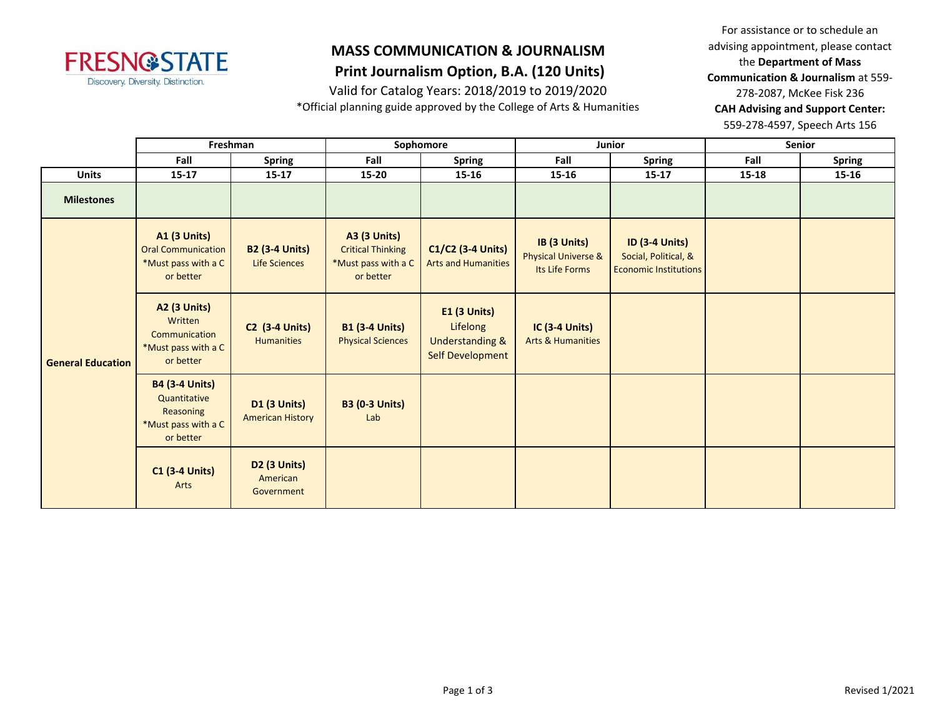

# **MASS COMMUNICATION & JOURNALISM**

### **Print Journalism Option, B.A. (120 Units)**

Valid for Catalog Years: 2018/2019 to 2019/2020

\*Official planning guide approved by the College of Arts & Humanities

For assistance or to schedule an advising appointment, please contact the **Department of Mass Communication & Journalism** at 559- 278-2087, McKee Fisk 236 **CAH Advising and Support Center:**  559-278-4597, Speech Arts 156

|                          | Freshman                                                                               |                                                |                                                                                     | Sophomore                                                                                | Junior                                                           |                                                                               | <b>Senior</b> |               |
|--------------------------|----------------------------------------------------------------------------------------|------------------------------------------------|-------------------------------------------------------------------------------------|------------------------------------------------------------------------------------------|------------------------------------------------------------------|-------------------------------------------------------------------------------|---------------|---------------|
|                          | Fall                                                                                   | <b>Spring</b>                                  | Fall                                                                                | <b>Spring</b>                                                                            | Fall                                                             | <b>Spring</b>                                                                 | Fall          | <b>Spring</b> |
| <b>Units</b>             | $15 - 17$                                                                              | $15 - 17$                                      | 15-20                                                                               | $15 - 16$                                                                                | $15 - 16$                                                        | $15 - 17$                                                                     | $15 - 18$     | 15-16         |
| <b>Milestones</b>        |                                                                                        |                                                |                                                                                     |                                                                                          |                                                                  |                                                                               |               |               |
| <b>General Education</b> | <b>A1 (3 Units)</b><br><b>Oral Communication</b><br>*Must pass with a C<br>or better   | <b>B2 (3-4 Units)</b><br><b>Life Sciences</b>  | <b>A3 (3 Units)</b><br><b>Critical Thinking</b><br>*Must pass with a C<br>or better | C1/C2 (3-4 Units)<br><b>Arts and Humanities</b>                                          | IB (3 Units)<br><b>Physical Universe &amp;</b><br>Its Life Forms | <b>ID (3-4 Units)</b><br>Social, Political, &<br><b>Economic Institutions</b> |               |               |
|                          | <b>A2 (3 Units)</b><br>Written<br>Communication<br>*Must pass with a C<br>or better    | <b>C2 (3-4 Units)</b><br><b>Humanities</b>     | <b>B1 (3-4 Units)</b><br><b>Physical Sciences</b>                                   | <b>E1 (3 Units)</b><br>Lifelong<br><b>Understanding &amp;</b><br><b>Self Development</b> | <b>IC (3-4 Units)</b><br><b>Arts &amp; Humanities</b>            |                                                                               |               |               |
|                          | <b>B4 (3-4 Units)</b><br>Quantitative<br>Reasoning<br>*Must pass with a C<br>or better | <b>D1 (3 Units)</b><br><b>American History</b> | <b>B3 (0-3 Units)</b><br>Lab                                                        |                                                                                          |                                                                  |                                                                               |               |               |
|                          | <b>C1 (3-4 Units)</b><br>Arts                                                          | D2 (3 Units)<br>American<br>Government         |                                                                                     |                                                                                          |                                                                  |                                                                               |               |               |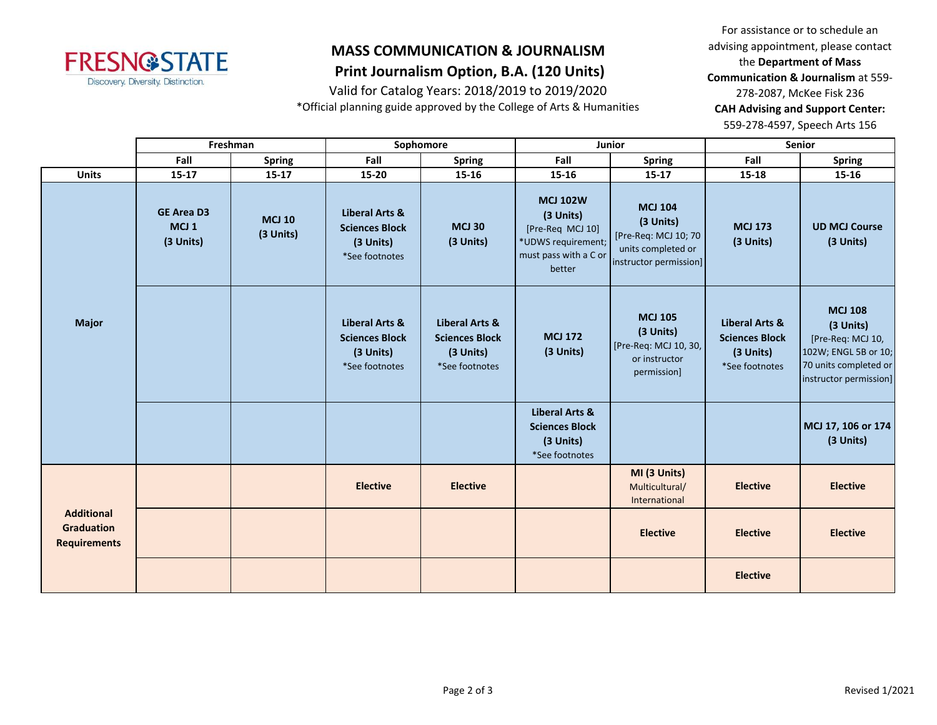

### **MASS COMMUNICATION & JOURNALISM Print Journalism Option, B.A. (120 Units)**

# Valid for Catalog Years: 2018/2019 to 2019/2020

\*Official planning guide approved by the College of Arts & Humanities

For assistance or to schedule an advising appointment, please contact the **Department of Mass Communication & Journalism** at 559- 278-2087, McKee Fisk 236 **CAH Advising and Support Center:**  559-278-4597, Speech Arts 156

|                                                               | Freshman                                           |                            |                                                                                   | Sophomore                                                              |                                                                                                           | Junior                                                                                              | Senior                                                                            |                                                                                                                             |
|---------------------------------------------------------------|----------------------------------------------------|----------------------------|-----------------------------------------------------------------------------------|------------------------------------------------------------------------|-----------------------------------------------------------------------------------------------------------|-----------------------------------------------------------------------------------------------------|-----------------------------------------------------------------------------------|-----------------------------------------------------------------------------------------------------------------------------|
|                                                               | Fall                                               | <b>Spring</b>              | Fall                                                                              | <b>Spring</b>                                                          | Fall                                                                                                      | Spring                                                                                              | Fall                                                                              | <b>Spring</b>                                                                                                               |
| <b>Units</b>                                                  | $15 - 17$                                          | $15 - 17$                  | 15-20                                                                             | 15-16                                                                  | $15 - 16$                                                                                                 | $15 - 17$                                                                                           | $15 - 18$                                                                         | $15 - 16$                                                                                                                   |
| <b>Major</b>                                                  | <b>GE Area D3</b><br>MCJ <sub>1</sub><br>(3 Units) | <b>MCJ 10</b><br>(3 Units) | Liberal Arts &<br><b>Sciences Block</b><br>(3 Units)<br>*See footnotes            | <b>MCJ 30</b><br>(3 Units)                                             | <b>MCJ 102W</b><br>(3 Units)<br>[Pre-Req MCJ 10]<br>*UDWS requirement;<br>must pass with a C or<br>better | <b>MCJ 104</b><br>(3 Units)<br>[Pre-Req: MCJ 10; 70<br>units completed or<br>instructor permission] | <b>MCJ 173</b><br>(3 Units)                                                       | <b>UD MCJ Course</b><br>(3 Units)                                                                                           |
|                                                               |                                                    |                            | <b>Liberal Arts &amp;</b><br><b>Sciences Block</b><br>(3 Units)<br>*See footnotes | Liberal Arts &<br><b>Sciences Block</b><br>(3 Units)<br>*See footnotes | <b>MCJ 172</b><br>(3 Units)                                                                               | <b>MCJ 105</b><br>(3 Units)<br>[Pre-Req: MCJ 10, 30,<br>or instructor<br>permission]                | <b>Liberal Arts &amp;</b><br><b>Sciences Block</b><br>(3 Units)<br>*See footnotes | <b>MCJ 108</b><br>(3 Units)<br>[Pre-Req: MCJ 10,<br>102W; ENGL 5B or 10;<br>70 units completed or<br>instructor permission] |
|                                                               |                                                    |                            |                                                                                   |                                                                        | <b>Liberal Arts &amp;</b><br><b>Sciences Block</b><br>(3 Units)<br>*See footnotes                         |                                                                                                     |                                                                                   | MCJ 17, 106 or 174<br>(3 Units)                                                                                             |
| <b>Additional</b><br><b>Graduation</b><br><b>Requirements</b> |                                                    |                            | <b>Elective</b>                                                                   | <b>Elective</b>                                                        |                                                                                                           | MI (3 Units)<br>Multicultural/<br>International                                                     | <b>Elective</b>                                                                   | <b>Elective</b>                                                                                                             |
|                                                               |                                                    |                            |                                                                                   |                                                                        |                                                                                                           | <b>Elective</b>                                                                                     | <b>Elective</b>                                                                   | <b>Elective</b>                                                                                                             |
|                                                               |                                                    |                            |                                                                                   |                                                                        |                                                                                                           |                                                                                                     | <b>Elective</b>                                                                   |                                                                                                                             |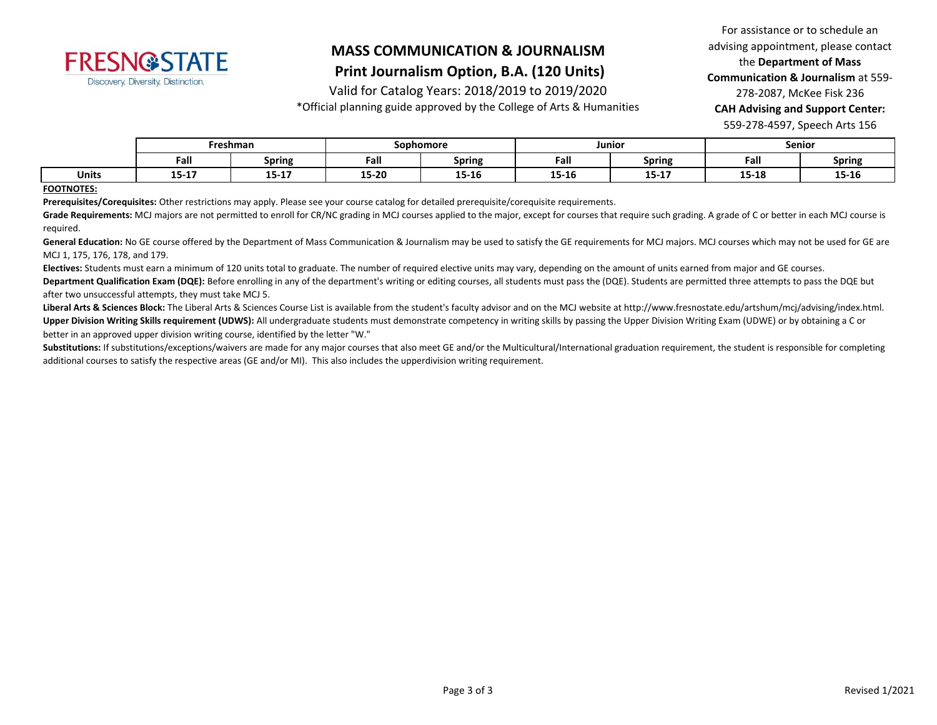

## **MASS COMMUNICATION & JOURNALISM**

### **Print Journalism Option, B.A. (120 Units)**

Valid for Catalog Years: 2018/2019 to 2019/2020

\*Official planning guide approved by the College of Arts & Humanities

For assistance or to schedule an advising appointment, please contact the **Department of Mass Communication & Journalism** at 559- 278-2087, McKee Fisk 236 **CAH Advising and Support Center:**  559-278-4597, Speech Arts 156

|              | Freshman   |               | Sophomore |                  | Junior    |                  | <b>Senior</b>    |               |
|--------------|------------|---------------|-----------|------------------|-----------|------------------|------------------|---------------|
|              | Fall       | <b>Spring</b> | Fall      | <b>Spring</b>    | Fall      | <b>Spring</b>    | Fall             | <b>Spring</b> |
| <b>Units</b> | .<br>T3-T\ | $15 - 17$     | 15-20     | $- - -$<br>T2-TO | $15 - 16$ | $1 - 17$<br>13-L | 1 E 1 O<br>15-18 | 15-16         |

#### **FOOTNOTES:**

**Prerequisites/Corequisites:** Other restrictions may apply. Please see your course catalog for detailed prerequisite/corequisite requirements.

Grade Requirements: MCJ majors are not permitted to enroll for CR/NC grading in MCJ courses applied to the major, except for courses that require such grading. A grade of C or better in each MCJ course is required.

General Education: No GE course offered by the Department of Mass Communication & Journalism may be used to satisfy the GE requirements for MCJ majors. MCJ courses which may not be used for GE are MCJ 1, 175, 176, 178, and 179.

**Electives:** Students must earn a minimum of 120 units total to graduate. The number of required elective units may vary, depending on the amount of units earned from major and GE courses.

Department Qualification Exam (DQE): Before enrolling in any of the department's writing or editing courses, all students must pass the (DQE). Students are permitted three attempts to pass the DQE but after two unsuccessful attempts, they must take MCJ 5.

Liberal Arts & Sciences Block: The Liberal Arts & Sciences Course List is available from the student's faculty advisor and on the MCJ website at http://www.fresnostate.edu/artshum/mcj/advising/index.html. **Upper Division Writing Skills requirement (UDWS):** All undergraduate students must demonstrate competency in writing skills by passing the Upper Division Writing Exam (UDWE) or by obtaining a C or better in an approved upper division writing course, identified by the letter "W."

Substitutions: If substitutions/exceptions/waivers are made for any major courses that also meet GE and/or the Multicultural/International graduation requirement, the student is responsible for completing additional courses to satisfy the respective areas (GE and/or MI). This also includes the upperdivision writing requirement.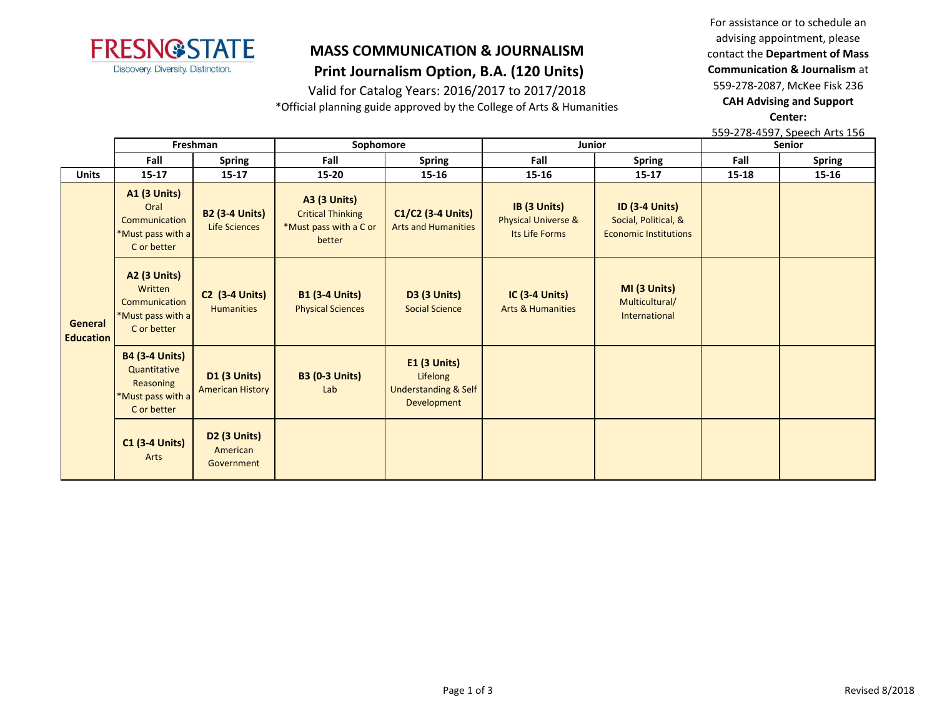

### **MASS COMMUNICATION & JOURNALISM Print Journalism Option, B.A. (120 Units)**

Valid for Catalog Years: 2016/2017 to 2017/2018

\*Official planning guide approved by the College of Arts & Humanities

For assistance or to schedule an advising appointment, please contact the **Department of Mass Communication & Journalism** at 559-278-2087, McKee Fisk 236 **CAH Advising and Support Center:** 

559-278-4597, Speech Arts 156

|                                    | Freshman                                                                               |                                                | Sophomore                                                                           |                                                                              | Junior                                                           |                                                                               | <b>Senior</b> |               |
|------------------------------------|----------------------------------------------------------------------------------------|------------------------------------------------|-------------------------------------------------------------------------------------|------------------------------------------------------------------------------|------------------------------------------------------------------|-------------------------------------------------------------------------------|---------------|---------------|
|                                    | Fall                                                                                   | <b>Spring</b>                                  | Fall                                                                                | <b>Spring</b>                                                                | Fall                                                             | <b>Spring</b>                                                                 | Fall          | <b>Spring</b> |
| <b>Units</b>                       | $15 - 17$                                                                              | $15 - 17$                                      | $15 - 20$                                                                           | $15 - 16$                                                                    | 15-16                                                            | $15 - 17$                                                                     | 15-18         | $15 - 16$     |
| <b>General</b><br><b>Education</b> | <b>A1 (3 Units)</b><br>Oral<br>Communication<br>*Must pass with a<br>C or better       | <b>B2 (3-4 Units)</b><br><b>Life Sciences</b>  | <b>A3 (3 Units)</b><br><b>Critical Thinking</b><br>*Must pass with a C or<br>better | $C1/C2$ (3-4 Units)<br><b>Arts and Humanities</b>                            | IB (3 Units)<br><b>Physical Universe &amp;</b><br>Its Life Forms | <b>ID (3-4 Units)</b><br>Social, Political, &<br><b>Economic Institutions</b> |               |               |
|                                    | <b>A2 (3 Units)</b><br>Written<br>Communication<br>*Must pass with a<br>C or better    | <b>C2 (3-4 Units)</b><br><b>Humanities</b>     | <b>B1 (3-4 Units)</b><br><b>Physical Sciences</b>                                   | <b>D3 (3 Units)</b><br><b>Social Science</b>                                 | $IC(3-4 Units)$<br><b>Arts &amp; Humanities</b>                  | MI (3 Units)<br>Multicultural/<br>International                               |               |               |
|                                    | <b>B4 (3-4 Units)</b><br>Quantitative<br>Reasoning<br>*Must pass with a<br>C or better | <b>D1 (3 Units)</b><br><b>American History</b> | <b>B3 (0-3 Units)</b><br>Lab                                                        | $E1$ (3 Units)<br>Lifelong<br><b>Understanding &amp; Self</b><br>Development |                                                                  |                                                                               |               |               |
|                                    | <b>C1 (3-4 Units)</b><br>Arts                                                          | <b>D2 (3 Units)</b><br>American<br>Government  |                                                                                     |                                                                              |                                                                  |                                                                               |               |               |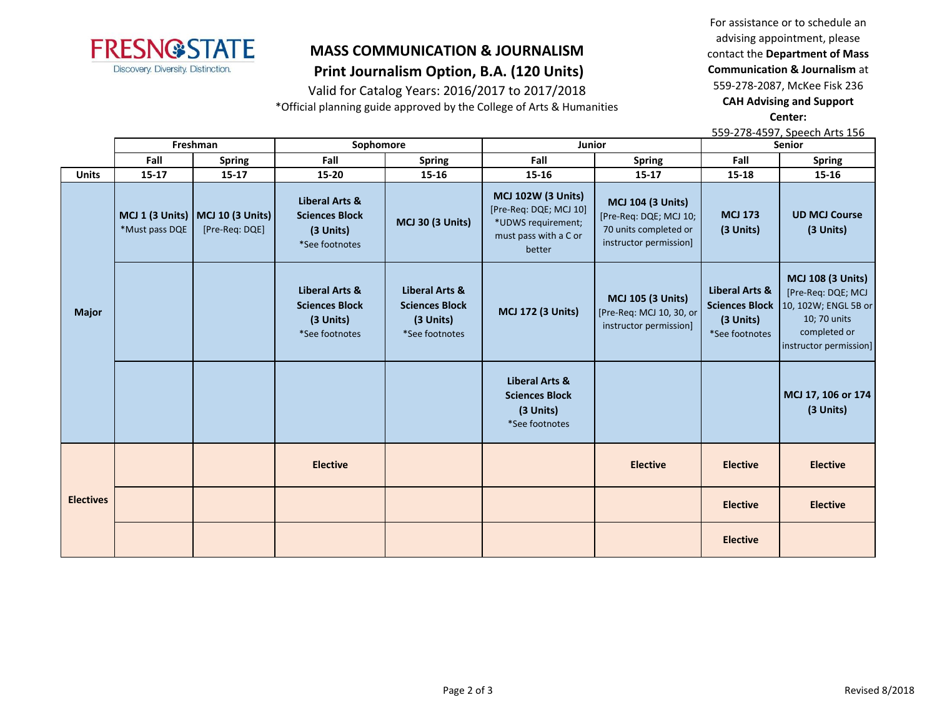

### **MASS COMMUNICATION & JOURNALISM Print Journalism Option, B.A. (120 Units)**

Valid for Catalog Years: 2016/2017 to 2017/2018

\*Official planning guide approved by the College of Arts & Humanities

For assistance or to schedule an advising appointment, please contact the **Department of Mass Communication & Journalism** at 559-278-2087, McKee Fisk 236 **CAH Advising and Support Center:** 

|                  | 559-278-4597, Speech Arts 156 |                                                        |                                                                                   |                                                                        |                                                                                                              |                                                                                                       |                                                          |                                                                                                                                                   |  |  |
|------------------|-------------------------------|--------------------------------------------------------|-----------------------------------------------------------------------------------|------------------------------------------------------------------------|--------------------------------------------------------------------------------------------------------------|-------------------------------------------------------------------------------------------------------|----------------------------------------------------------|---------------------------------------------------------------------------------------------------------------------------------------------------|--|--|
|                  | Freshman                      |                                                        | Sophomore                                                                         |                                                                        | <b>Junior</b>                                                                                                |                                                                                                       |                                                          | <b>Senior</b>                                                                                                                                     |  |  |
|                  | Fall                          | <b>Spring</b>                                          | Fall                                                                              | <b>Spring</b>                                                          | Fall                                                                                                         | <b>Spring</b>                                                                                         | Fall                                                     | <b>Spring</b>                                                                                                                                     |  |  |
| <b>Units</b>     | $15 - 17$                     | $15 - 17$                                              | 15-20                                                                             | 15-16                                                                  | 15-16                                                                                                        | $15 - 17$                                                                                             | 15-18                                                    | 15-16                                                                                                                                             |  |  |
| <b>Major</b>     | *Must pass DQE                | MCJ 1 (3 Units)   MCJ 10 (3 Units)  <br>[Pre-Req: DQE] | <b>Liberal Arts &amp;</b><br><b>Sciences Block</b><br>(3 Units)<br>*See footnotes | <b>MCJ 30 (3 Units)</b>                                                | <b>MCJ 102W (3 Units)</b><br>[Pre-Req: DQE; MCJ 10]<br>*UDWS requirement;<br>must pass with a C or<br>better | <b>MCJ 104 (3 Units)</b><br>[Pre-Req: DQE; MCJ 10;<br>70 units completed or<br>instructor permission] | <b>MCJ 173</b><br>(3 Units)                              | <b>UD MCJ Course</b><br>(3 Units)                                                                                                                 |  |  |
|                  |                               |                                                        | Liberal Arts &<br><b>Sciences Block</b><br>(3 Units)<br>*See footnotes            | Liberal Arts &<br><b>Sciences Block</b><br>(3 Units)<br>*See footnotes | <b>MCJ 172 (3 Units)</b>                                                                                     | <b>MCJ 105 (3 Units)</b><br>[Pre-Req: MCJ 10, 30, or<br>instructor permission]                        | <b>Liberal Arts &amp;</b><br>(3 Units)<br>*See footnotes | <b>MCJ 108 (3 Units)</b><br>[Pre-Req: DQE; MCJ<br>Sciences Block   10, 102W; ENGL 5B or<br>10; 70 units<br>completed or<br>instructor permission] |  |  |
|                  |                               |                                                        |                                                                                   |                                                                        | <b>Liberal Arts &amp;</b><br><b>Sciences Block</b><br>(3 Units)<br>*See footnotes                            |                                                                                                       |                                                          | MCJ 17, 106 or 174<br>(3 Units)                                                                                                                   |  |  |
|                  |                               |                                                        | <b>Elective</b>                                                                   |                                                                        |                                                                                                              | <b>Elective</b>                                                                                       | <b>Elective</b>                                          | <b>Elective</b>                                                                                                                                   |  |  |
| <b>Electives</b> |                               |                                                        |                                                                                   |                                                                        |                                                                                                              |                                                                                                       | <b>Elective</b>                                          | <b>Elective</b>                                                                                                                                   |  |  |
|                  |                               |                                                        |                                                                                   |                                                                        |                                                                                                              |                                                                                                       | <b>Elective</b>                                          |                                                                                                                                                   |  |  |